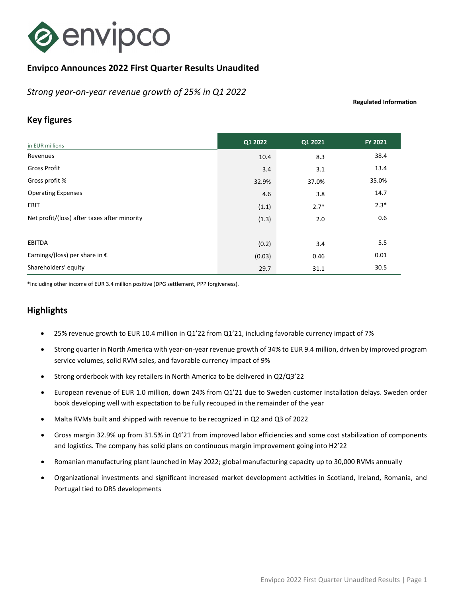

# Envipco Announces 2022 First Quarter Results Unaudited

Strong year-on-year revenue growth of 25% in Q1 2022

Regulated Information

# Key figures

| in EUR millions                              | Q1 2022 | Q1 2021 | FY 2021 |
|----------------------------------------------|---------|---------|---------|
| Revenues                                     | 10.4    | 8.3     | 38.4    |
| <b>Gross Profit</b>                          | 3.4     | 3.1     | 13.4    |
| Gross profit %                               | 32.9%   | 37.0%   | 35.0%   |
| <b>Operating Expenses</b>                    | 4.6     | 3.8     | 14.7    |
| <b>EBIT</b>                                  | (1.1)   | $2.7*$  | $2.3*$  |
| Net profit/(loss) after taxes after minority | (1.3)   | 2.0     | 0.6     |
|                                              |         |         |         |
| EBITDA                                       | (0.2)   | 3.4     | 5.5     |
| Earnings/(loss) per share in $\epsilon$      | (0.03)  | 0.46    | 0.01    |
| Shareholders' equity                         | 29.7    | 31.1    | 30.5    |

\*Including other income of EUR 3.4 million positive (DPG settlement, PPP forgiveness).

# **Highlights**

- 25% revenue growth to EUR 10.4 million in Q1'22 from Q1'21, including favorable currency impact of 7%
- Strong quarter in North America with year-on-year revenue growth of 34% to EUR 9.4 million, driven by improved program service volumes, solid RVM sales, and favorable currency impact of 9%
- Strong orderbook with key retailers in North America to be delivered in Q2/Q3'22
- European revenue of EUR 1.0 million, down 24% from Q1'21 due to Sweden customer installation delays. Sweden order book developing well with expectation to be fully recouped in the remainder of the year
- Malta RVMs built and shipped with revenue to be recognized in Q2 and Q3 of 2022
- Gross margin 32.9% up from 31.5% in Q4'21 from improved labor efficiencies and some cost stabilization of components and logistics. The company has solid plans on continuous margin improvement going into H2'22
- Romanian manufacturing plant launched in May 2022; global manufacturing capacity up to 30,000 RVMs annually
- Organizational investments and significant increased market development activities in Scotland, Ireland, Romania, and Portugal tied to DRS developments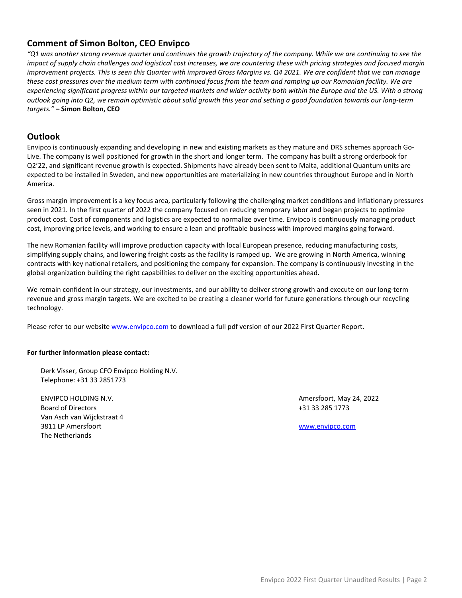## Comment of Simon Bolton, CEO Envipco

"Q1 was another strong revenue quarter and continues the growth trajectory of the company. While we are continuing to see the impact of supply chain challenges and logistical cost increases, we are countering these with pricing strategies and focused margin improvement projects. This is seen this Quarter with improved Gross Margins vs. Q4 2021. We are confident that we can manage these cost pressures over the medium term with continued focus from the team and ramping up our Romanian facility. We are experiencing significant progress within our targeted markets and wider activity both within the Europe and the US. With a strong outlook going into Q2, we remain optimistic about solid growth this year and setting a good foundation towards our long-term targets." – Simon Bolton, CEO

### **Outlook**

Envipco is continuously expanding and developing in new and existing markets as they mature and DRS schemes approach Go-Live. The company is well positioned for growth in the short and longer term. The company has built a strong orderbook for Q2'22, and significant revenue growth is expected. Shipments have already been sent to Malta, additional Quantum units are expected to be installed in Sweden, and new opportunities are materializing in new countries throughout Europe and in North America.

Gross margin improvement is a key focus area, particularly following the challenging market conditions and inflationary pressures seen in 2021. In the first quarter of 2022 the company focused on reducing temporary labor and began projects to optimize product cost. Cost of components and logistics are expected to normalize over time. Envipco is continuously managing product cost, improving price levels, and working to ensure a lean and profitable business with improved margins going forward.

The new Romanian facility will improve production capacity with local European presence, reducing manufacturing costs, simplifying supply chains, and lowering freight costs as the facility is ramped up. We are growing in North America, winning contracts with key national retailers, and positioning the company for expansion. The company is continuously investing in the global organization building the right capabilities to deliver on the exciting opportunities ahead.

We remain confident in our strategy, our investments, and our ability to deliver strong growth and execute on our long-term revenue and gross margin targets. We are excited to be creating a cleaner world for future generations through our recycling technology.

Please refer to our website www.envipco.com to download a full pdf version of our 2022 First Quarter Report.

#### For further information please contact:

Derk Visser, Group CFO Envipco Holding N.V. Telephone: +31 33 2851773

ENVIPCO HOLDING N.V. **Amersfoort, May 24, 2022** Board of Directors +31 33 285 1773 Van Asch van Wijckstraat 4 3811 LP Amersfoort www.envipco.com The Netherlands